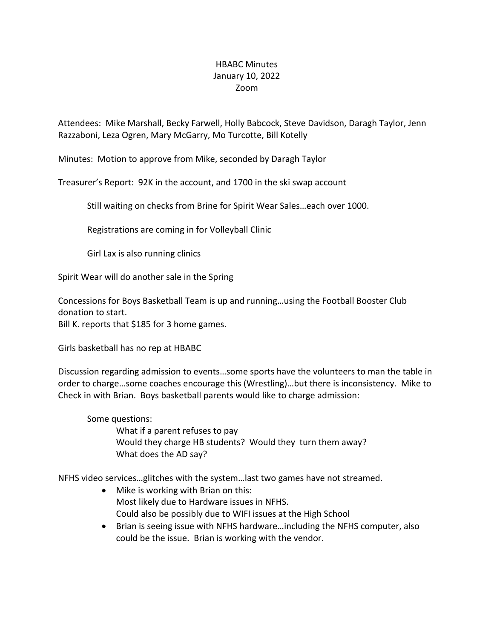## HBABC Minutes January 10, 2022 Zoom

Attendees: Mike Marshall, Becky Farwell, Holly Babcock, Steve Davidson, Daragh Taylor, Jenn Razzaboni, Leza Ogren, Mary McGarry, Mo Turcotte, Bill Kotelly

Minutes: Motion to approve from Mike, seconded by Daragh Taylor

Treasurer's Report: 92K in the account, and 1700 in the ski swap account

Still waiting on checks from Brine for Spirit Wear Sales…each over 1000.

Registrations are coming in for Volleyball Clinic

Girl Lax is also running clinics

Spirit Wear will do another sale in the Spring

Concessions for Boys Basketball Team is up and running…using the Football Booster Club donation to start.

Bill K. reports that \$185 for 3 home games.

Girls basketball has no rep at HBABC

Discussion regarding admission to events…some sports have the volunteers to man the table in order to charge…some coaches encourage this (Wrestling)…but there is inconsistency. Mike to Check in with Brian. Boys basketball parents would like to charge admission:

Some questions:

What if a parent refuses to pay Would they charge HB students? Would they turn them away? What does the AD say?

NFHS video services…glitches with the system…last two games have not streamed.

- Mike is working with Brian on this: Most likely due to Hardware issues in NFHS. Could also be possibly due to WIFI issues at the High School
- Brian is seeing issue with NFHS hardware…including the NFHS computer, also could be the issue. Brian is working with the vendor.